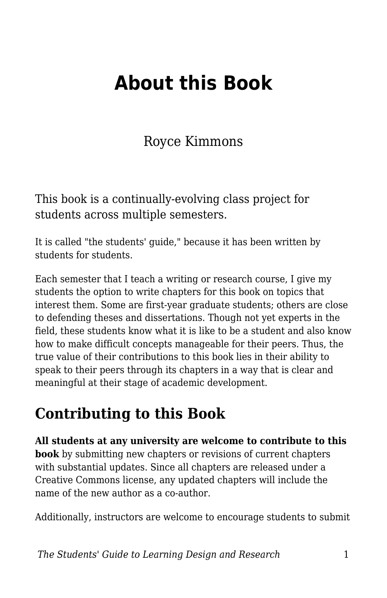## **About this Book**

## Royce Kimmons

This book is a continually-evolving class project for students across multiple semesters.

It is called "the students' guide," because it has been written by students for students.

Each semester that I teach a writing or research course, I give my students the option to write chapters for this book on topics that interest them. Some are first-year graduate students; others are close to defending theses and dissertations. Though not yet experts in the field, these students know what it is like to be a student and also know how to make difficult concepts manageable for their peers. Thus, the true value of their contributions to this book lies in their ability to speak to their peers through its chapters in a way that is clear and meaningful at their stage of academic development.

## **Contributing to this Book**

**All students at any university are welcome to contribute to this book** by submitting new chapters or revisions of current chapters with substantial updates. Since all chapters are released under a Creative Commons license, any updated chapters will include the name of the new author as a co-author.

Additionally, instructors are welcome to encourage students to submit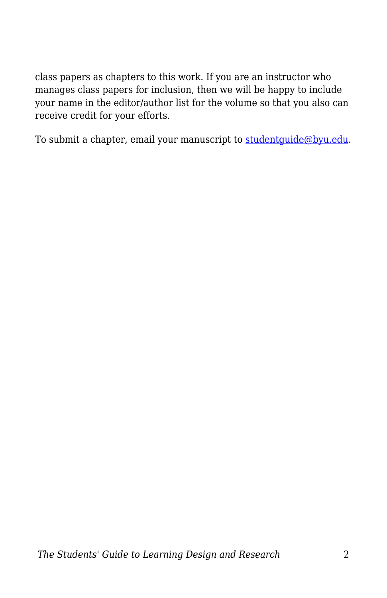class papers as chapters to this work. If you are an instructor who manages class papers for inclusion, then we will be happy to include your name in the editor/author list for the volume so that you also can receive credit for your efforts.

To submit a chapter, email your manuscript to [studentguide@byu.edu.](mailto:studentguide@byu.edu?subject=New%20Submission%20to%20Student%20Guide)